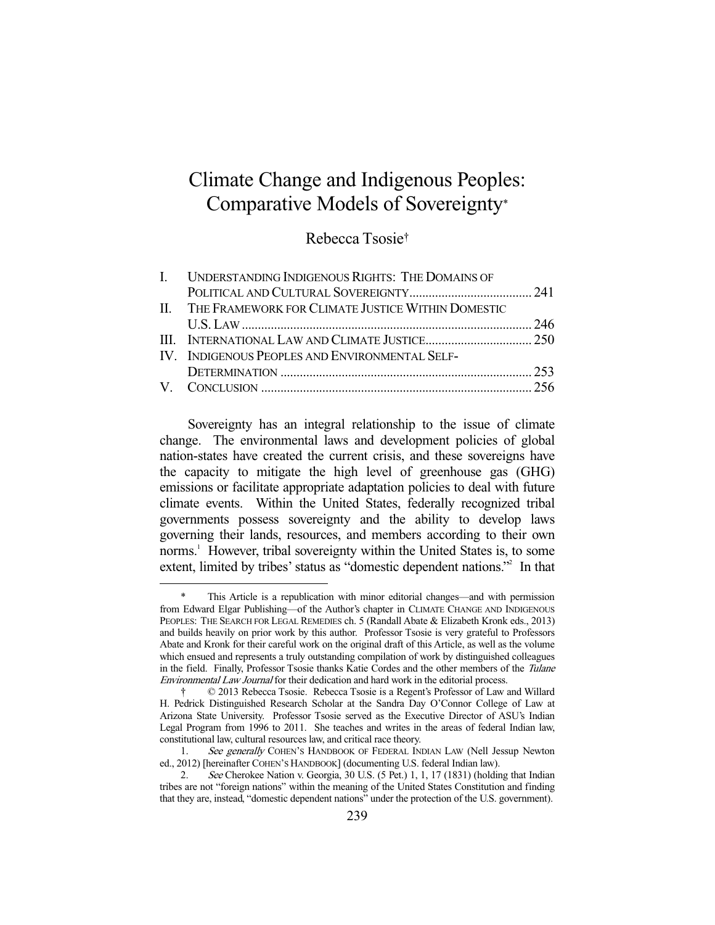# Climate Change and Indigenous Peoples: Comparative Models of Sovereignty\*

Rebecca Tsosie†

| I. UNDERSTANDING INDIGENOUS RIGHTS: THE DOMAINS OF    |  |
|-------------------------------------------------------|--|
|                                                       |  |
| II. THE FRAMEWORK FOR CLIMATE JUSTICE WITHIN DOMESTIC |  |
|                                                       |  |
|                                                       |  |
| IV. INDIGENOUS PEOPLES AND ENVIRONMENTAL SELF-        |  |
|                                                       |  |
|                                                       |  |
|                                                       |  |

 Sovereignty has an integral relationship to the issue of climate change. The environmental laws and development policies of global nation-states have created the current crisis, and these sovereigns have the capacity to mitigate the high level of greenhouse gas (GHG) emissions or facilitate appropriate adaptation policies to deal with future climate events. Within the United States, federally recognized tribal governments possess sovereignty and the ability to develop laws governing their lands, resources, and members according to their own norms.<sup>1</sup> However, tribal sovereignty within the United States is, to some extent, limited by tribes' status as "domestic dependent nations."<sup>2</sup> In that

 <sup>\*</sup> This Article is a republication with minor editorial changes—and with permission from Edward Elgar Publishing—of the Author's chapter in CLIMATE CHANGE AND INDIGENOUS PEOPLES: THE SEARCH FOR LEGAL REMEDIES ch. 5 (Randall Abate & Elizabeth Kronk eds., 2013) and builds heavily on prior work by this author. Professor Tsosie is very grateful to Professors Abate and Kronk for their careful work on the original draft of this Article, as well as the volume which ensued and represents a truly outstanding compilation of work by distinguished colleagues in the field. Finally, Professor Tsosie thanks Katie Cordes and the other members of the Tulane Environmental Law Journal for their dedication and hard work in the editorial process.

 <sup>† © 2013</sup> Rebecca Tsosie. Rebecca Tsosie is a Regent's Professor of Law and Willard H. Pedrick Distinguished Research Scholar at the Sandra Day O'Connor College of Law at Arizona State University. Professor Tsosie served as the Executive Director of ASU's Indian Legal Program from 1996 to 2011. She teaches and writes in the areas of federal Indian law, constitutional law, cultural resources law, and critical race theory.

<sup>1.</sup> See generally COHEN'S HANDBOOK OF FEDERAL INDIAN LAW (Nell Jessup Newton ed., 2012) [hereinafter COHEN'S HANDBOOK] (documenting U.S. federal Indian law).

See Cherokee Nation v. Georgia, 30 U.S. (5 Pet.) 1, 1, 17 (1831) (holding that Indian tribes are not "foreign nations" within the meaning of the United States Constitution and finding that they are, instead, "domestic dependent nations" under the protection of the U.S. government).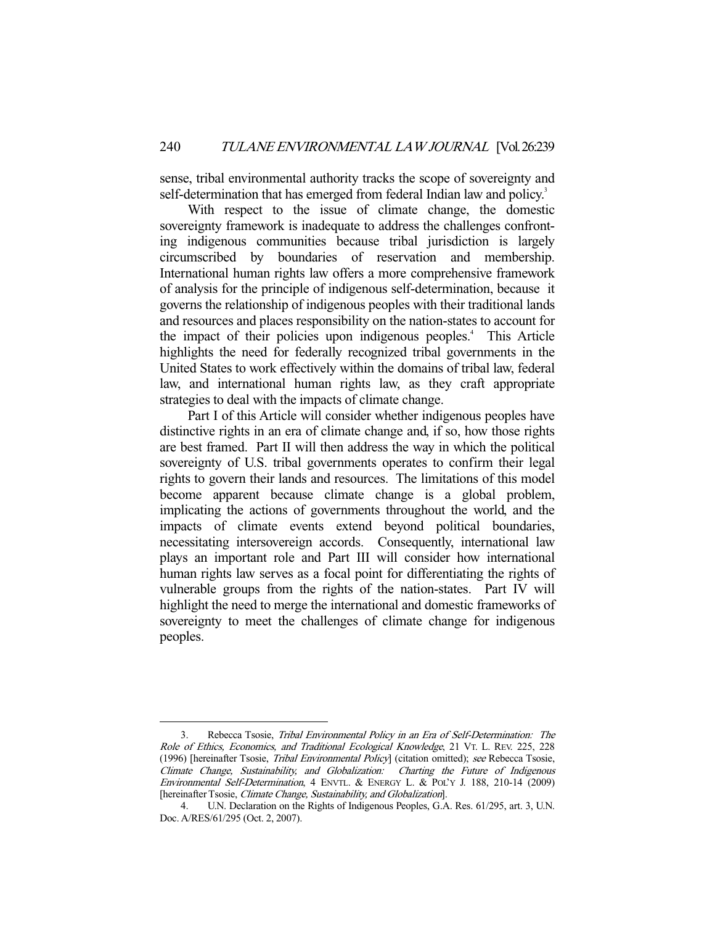sense, tribal environmental authority tracks the scope of sovereignty and self-determination that has emerged from federal Indian law and policy.<sup>3</sup>

 With respect to the issue of climate change, the domestic sovereignty framework is inadequate to address the challenges confronting indigenous communities because tribal jurisdiction is largely circumscribed by boundaries of reservation and membership. International human rights law offers a more comprehensive framework of analysis for the principle of indigenous self-determination, because it governs the relationship of indigenous peoples with their traditional lands and resources and places responsibility on the nation-states to account for the impact of their policies upon indigenous peoples.<sup>4</sup> This Article highlights the need for federally recognized tribal governments in the United States to work effectively within the domains of tribal law, federal law, and international human rights law, as they craft appropriate strategies to deal with the impacts of climate change.

 Part I of this Article will consider whether indigenous peoples have distinctive rights in an era of climate change and, if so, how those rights are best framed. Part II will then address the way in which the political sovereignty of U.S. tribal governments operates to confirm their legal rights to govern their lands and resources. The limitations of this model become apparent because climate change is a global problem, implicating the actions of governments throughout the world, and the impacts of climate events extend beyond political boundaries, necessitating intersovereign accords. Consequently, international law plays an important role and Part III will consider how international human rights law serves as a focal point for differentiating the rights of vulnerable groups from the rights of the nation-states. Part IV will highlight the need to merge the international and domestic frameworks of sovereignty to meet the challenges of climate change for indigenous peoples.

 <sup>3.</sup> Rebecca Tsosie, Tribal Environmental Policy in an Era of Self-Determination: The Role of Ethics, Economics, and Traditional Ecological Knowledge, 21 VT. L. REV. 225, 228 (1996) [hereinafter Tsosie, Tribal Environmental Policy] (citation omitted); see Rebecca Tsosie, Climate Change, Sustainability, and Globalization: Charting the Future of Indigenous Environmental Self-Determination, 4 ENVTL. & ENERGY L. & POL'Y J. 188, 210-14 (2009) [hereinafter Tsosie, *Climate Change, Sustainability, and Globalization*].

 <sup>4.</sup> U.N. Declaration on the Rights of Indigenous Peoples, G.A. Res. 61/295, art. 3, U.N. Doc. A/RES/61/295 (Oct. 2, 2007).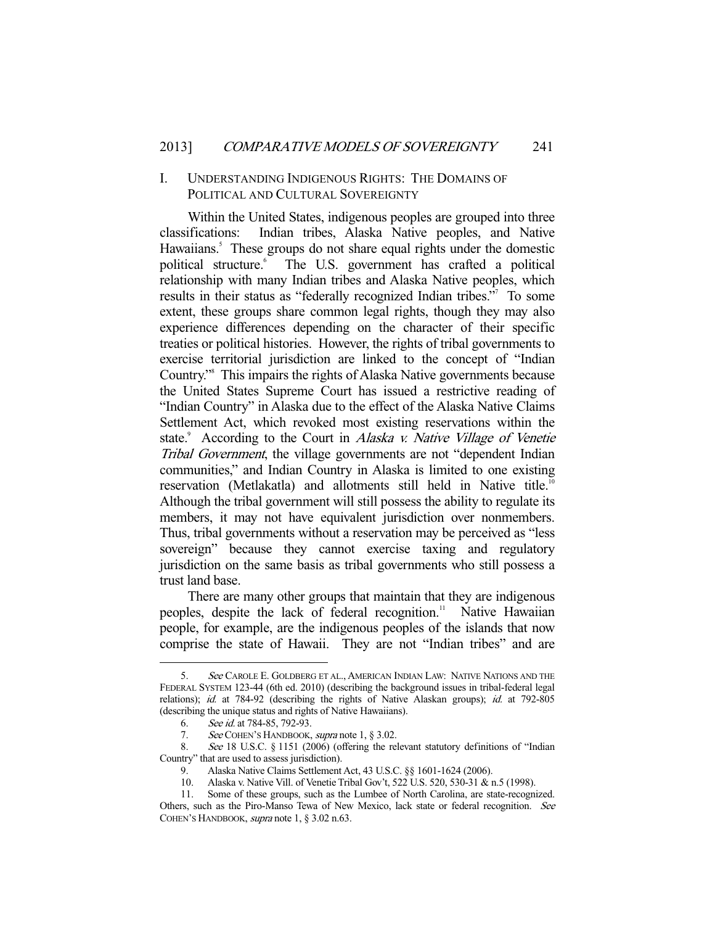## I. UNDERSTANDING INDIGENOUS RIGHTS: THE DOMAINS OF POLITICAL AND CULTURAL SOVEREIGNTY

 Within the United States, indigenous peoples are grouped into three classifications: Indian tribes, Alaska Native peoples, and Native Hawaiians.<sup>5</sup> These groups do not share equal rights under the domestic political structure.<sup>6</sup> The U.S. government has crafted a political relationship with many Indian tribes and Alaska Native peoples, which results in their status as "federally recognized Indian tribes."<sup>7</sup> To some extent, these groups share common legal rights, though they may also experience differences depending on the character of their specific treaties or political histories. However, the rights of tribal governments to exercise territorial jurisdiction are linked to the concept of "Indian Country."8 This impairs the rights of Alaska Native governments because the United States Supreme Court has issued a restrictive reading of "Indian Country" in Alaska due to the effect of the Alaska Native Claims Settlement Act, which revoked most existing reservations within the state.<sup>9</sup> According to the Court in Alaska v. Native Village of Venetie Tribal Government, the village governments are not "dependent Indian communities," and Indian Country in Alaska is limited to one existing reservation (Metlakatla) and allotments still held in Native title.<sup>10</sup> Although the tribal government will still possess the ability to regulate its members, it may not have equivalent jurisdiction over nonmembers. Thus, tribal governments without a reservation may be perceived as "less sovereign" because they cannot exercise taxing and regulatory jurisdiction on the same basis as tribal governments who still possess a trust land base.

 There are many other groups that maintain that they are indigenous peoples, despite the lack of federal recognition.<sup>11</sup> Native Hawaiian people, for example, are the indigenous peoples of the islands that now comprise the state of Hawaii. They are not "Indian tribes" and are

<sup>5.</sup> See CAROLE E. GOLDBERG ET AL., AMERICAN INDIAN LAW: NATIVE NATIONS AND THE FEDERAL SYSTEM 123-44 (6th ed. 2010) (describing the background issues in tribal-federal legal relations); id. at 784-92 (describing the rights of Native Alaskan groups); id. at 792-805 (describing the unique status and rights of Native Hawaiians).

 <sup>6.</sup> See id. at 784-85, 792-93.

<sup>7.</sup> See COHEN's HANDBOOK, supra note 1, § 3.02.

 <sup>8.</sup> See 18 U.S.C. § 1151 (2006) (offering the relevant statutory definitions of "Indian Country" that are used to assess jurisdiction).

 <sup>9.</sup> Alaska Native Claims Settlement Act, 43 U.S.C. §§ 1601-1624 (2006).

 <sup>10.</sup> Alaska v. Native Vill. of Venetie Tribal Gov't, 522 U.S. 520, 530-31 & n.5 (1998).

 <sup>11.</sup> Some of these groups, such as the Lumbee of North Carolina, are state-recognized. Others, such as the Piro-Manso Tewa of New Mexico, lack state or federal recognition. See COHEN'S HANDBOOK, supra note 1, § 3.02 n.63.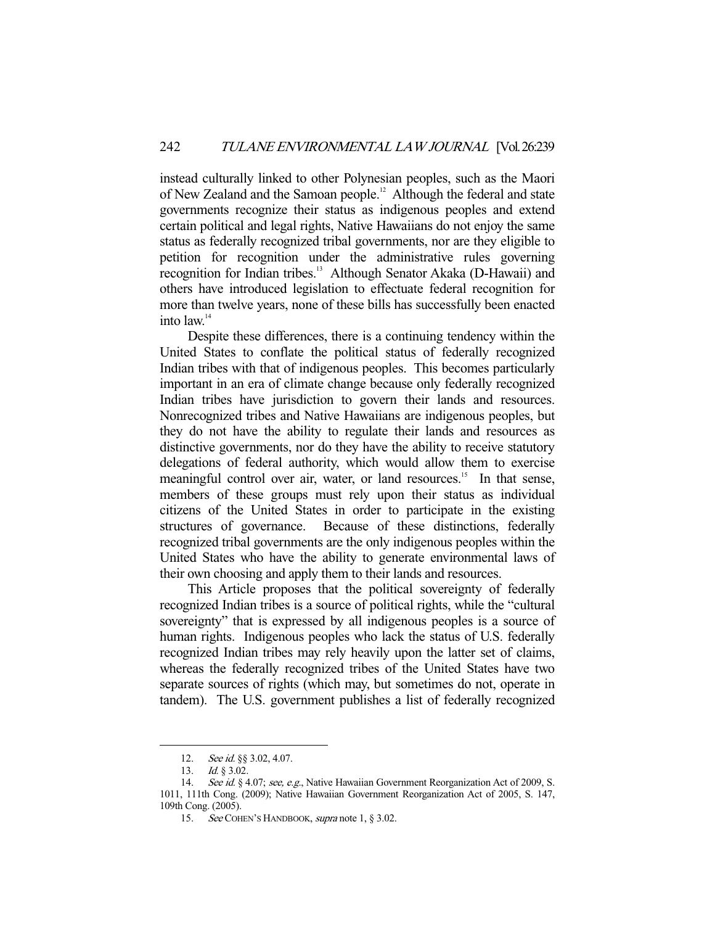instead culturally linked to other Polynesian peoples, such as the Maori of New Zealand and the Samoan people.<sup>12</sup> Although the federal and state governments recognize their status as indigenous peoples and extend certain political and legal rights, Native Hawaiians do not enjoy the same status as federally recognized tribal governments, nor are they eligible to petition for recognition under the administrative rules governing recognition for Indian tribes.<sup>13</sup> Although Senator Akaka (D-Hawaii) and others have introduced legislation to effectuate federal recognition for more than twelve years, none of these bills has successfully been enacted into law.14

 Despite these differences, there is a continuing tendency within the United States to conflate the political status of federally recognized Indian tribes with that of indigenous peoples. This becomes particularly important in an era of climate change because only federally recognized Indian tribes have jurisdiction to govern their lands and resources. Nonrecognized tribes and Native Hawaiians are indigenous peoples, but they do not have the ability to regulate their lands and resources as distinctive governments, nor do they have the ability to receive statutory delegations of federal authority, which would allow them to exercise meaningful control over air, water, or land resources.<sup>15</sup> In that sense, members of these groups must rely upon their status as individual citizens of the United States in order to participate in the existing structures of governance. Because of these distinctions, federally recognized tribal governments are the only indigenous peoples within the United States who have the ability to generate environmental laws of their own choosing and apply them to their lands and resources.

 This Article proposes that the political sovereignty of federally recognized Indian tribes is a source of political rights, while the "cultural sovereignty" that is expressed by all indigenous peoples is a source of human rights. Indigenous peoples who lack the status of U.S. federally recognized Indian tribes may rely heavily upon the latter set of claims, whereas the federally recognized tribes of the United States have two separate sources of rights (which may, but sometimes do not, operate in tandem). The U.S. government publishes a list of federally recognized

<sup>12.</sup> See id. §§ 3.02, 4.07.

<sup>13.</sup> *Id.* § 3.02.

<sup>14.</sup> See id. § 4.07; see, e.g., Native Hawaiian Government Reorganization Act of 2009, S. 1011, 111th Cong. (2009); Native Hawaiian Government Reorganization Act of 2005, S. 147, 109th Cong. (2005).

<sup>15.</sup> See COHEN's HANDBOOK, supra note 1, § 3.02.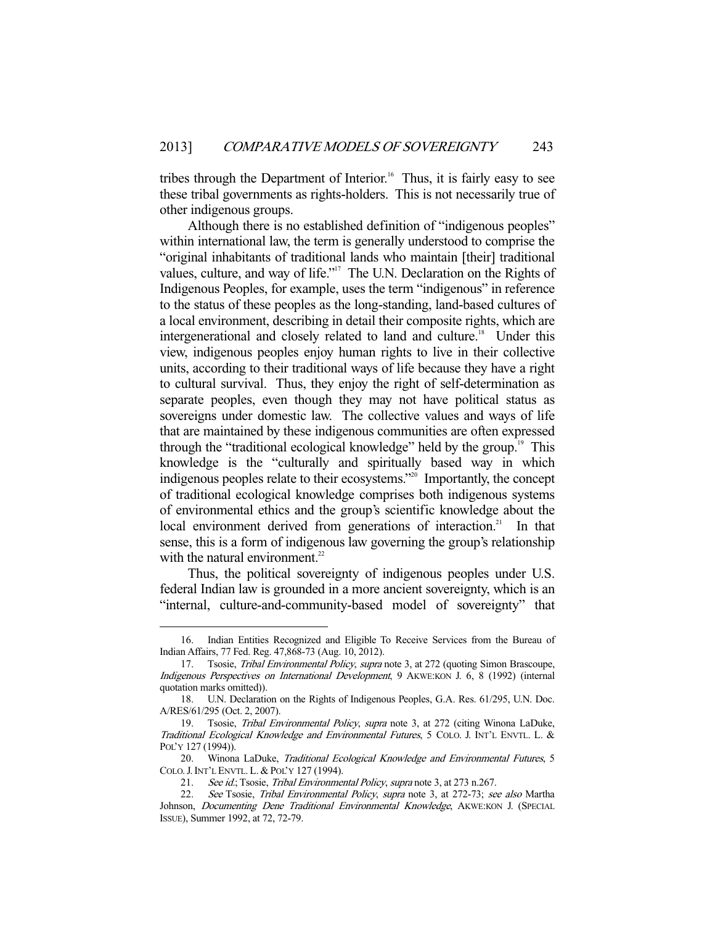tribes through the Department of Interior.<sup>16</sup> Thus, it is fairly easy to see these tribal governments as rights-holders. This is not necessarily true of other indigenous groups.

 Although there is no established definition of "indigenous peoples" within international law, the term is generally understood to comprise the "original inhabitants of traditional lands who maintain [their] traditional values, culture, and way of life."<sup>17</sup> The U.N. Declaration on the Rights of Indigenous Peoples, for example, uses the term "indigenous" in reference to the status of these peoples as the long-standing, land-based cultures of a local environment, describing in detail their composite rights, which are intergenerational and closely related to land and culture.<sup>18</sup> Under this view, indigenous peoples enjoy human rights to live in their collective units, according to their traditional ways of life because they have a right to cultural survival. Thus, they enjoy the right of self-determination as separate peoples, even though they may not have political status as sovereigns under domestic law. The collective values and ways of life that are maintained by these indigenous communities are often expressed through the "traditional ecological knowledge" held by the group.<sup>19</sup> This knowledge is the "culturally and spiritually based way in which indigenous peoples relate to their ecosystems."20 Importantly, the concept of traditional ecological knowledge comprises both indigenous systems of environmental ethics and the group's scientific knowledge about the local environment derived from generations of interaction.<sup>21</sup> In that sense, this is a form of indigenous law governing the group's relationship with the natural environment. $^{22}$ 

 Thus, the political sovereignty of indigenous peoples under U.S. federal Indian law is grounded in a more ancient sovereignty, which is an "internal, culture-and-community-based model of sovereignty" that

 <sup>16.</sup> Indian Entities Recognized and Eligible To Receive Services from the Bureau of Indian Affairs, 77 Fed. Reg. 47,868-73 (Aug. 10, 2012).

<sup>17.</sup> Tsosie, Tribal Environmental Policy, supra note 3, at 272 (quoting Simon Brascoupe, Indigenous Perspectives on International Development, 9 AKWE:KON J. 6, 8 (1992) (internal quotation marks omitted)).

 <sup>18.</sup> U.N. Declaration on the Rights of Indigenous Peoples, G.A. Res. 61/295, U.N. Doc. A/RES/61/295 (Oct. 2, 2007).

 <sup>19.</sup> Tsosie, Tribal Environmental Policy, supra note 3, at 272 (citing Winona LaDuke, Traditional Ecological Knowledge and Environmental Futures, 5 COLO. J. INT'L ENVTL. L. & POL'Y 127 (1994)).<br>20. Winona

Winona LaDuke, Traditional Ecological Knowledge and Environmental Futures, 5 COLO.J.INT'L ENVTL. L. & POL'Y 127 (1994).

<sup>21.</sup> See id.; Tsosie, Tribal Environmental Policy, supra note 3, at 273 n.267.

<sup>22.</sup> See Tsosie, Tribal Environmental Policy, supra note 3, at 272-73; see also Martha Johnson, Documenting Dene Traditional Environmental Knowledge, AKWE:KON J. (SPECIAL ISSUE), Summer 1992, at 72, 72-79.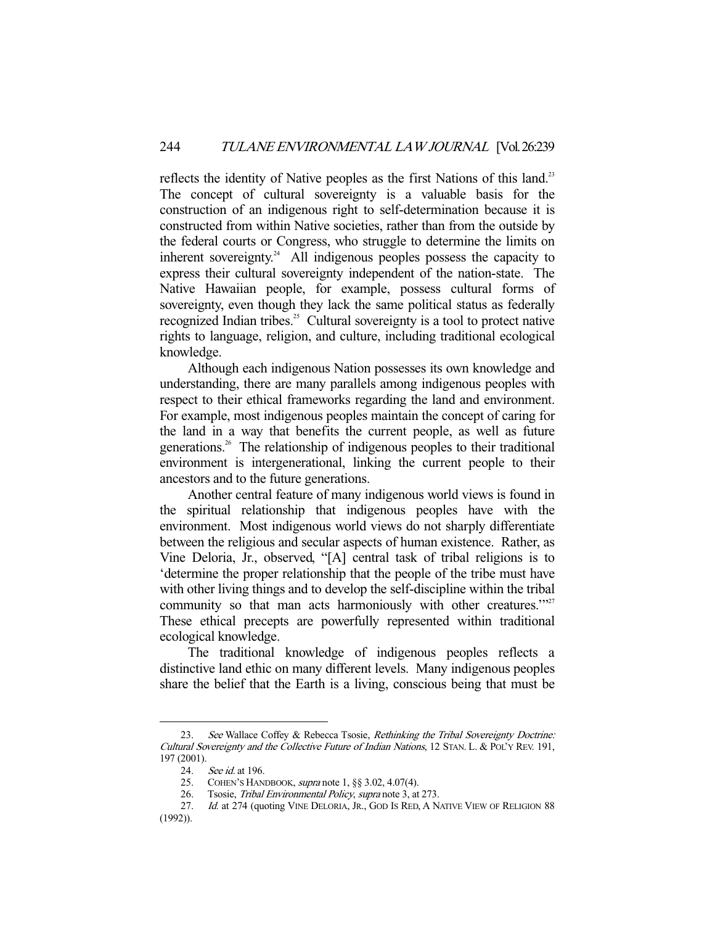reflects the identity of Native peoples as the first Nations of this land.<sup>23</sup> The concept of cultural sovereignty is a valuable basis for the construction of an indigenous right to self-determination because it is constructed from within Native societies, rather than from the outside by the federal courts or Congress, who struggle to determine the limits on inherent sovereignty.<sup>24</sup> All indigenous peoples possess the capacity to express their cultural sovereignty independent of the nation-state. The Native Hawaiian people, for example, possess cultural forms of sovereignty, even though they lack the same political status as federally recognized Indian tribes.<sup>25</sup> Cultural sovereignty is a tool to protect native rights to language, religion, and culture, including traditional ecological knowledge.

 Although each indigenous Nation possesses its own knowledge and understanding, there are many parallels among indigenous peoples with respect to their ethical frameworks regarding the land and environment. For example, most indigenous peoples maintain the concept of caring for the land in a way that benefits the current people, as well as future generations.26 The relationship of indigenous peoples to their traditional environment is intergenerational, linking the current people to their ancestors and to the future generations.

 Another central feature of many indigenous world views is found in the spiritual relationship that indigenous peoples have with the environment. Most indigenous world views do not sharply differentiate between the religious and secular aspects of human existence. Rather, as Vine Deloria, Jr., observed, "[A] central task of tribal religions is to 'determine the proper relationship that the people of the tribe must have with other living things and to develop the self-discipline within the tribal community so that man acts harmoniously with other creatures."<sup>27</sup> These ethical precepts are powerfully represented within traditional ecological knowledge.

 The traditional knowledge of indigenous peoples reflects a distinctive land ethic on many different levels. Many indigenous peoples share the belief that the Earth is a living, conscious being that must be

<sup>23.</sup> See Wallace Coffey & Rebecca Tsosie, Rethinking the Tribal Sovereignty Doctrine: Cultural Sovereignty and the Collective Future of Indian Nations, 12 STAN. L. & POL'Y REV. 191, 197 (2001).

<sup>24.</sup> *See id.* at 196.<br>25. COHEN's HAN

 <sup>25.</sup> COHEN'S HANDBOOK, supra note 1, §§ 3.02, 4.07(4).

 <sup>26.</sup> Tsosie, Tribal Environmental Policy, supra note 3, at 273.

<sup>27.</sup> Id. at 274 (quoting VINE DELORIA, JR., GOD IS RED, A NATIVE VIEW OF RELIGION 88 (1992)).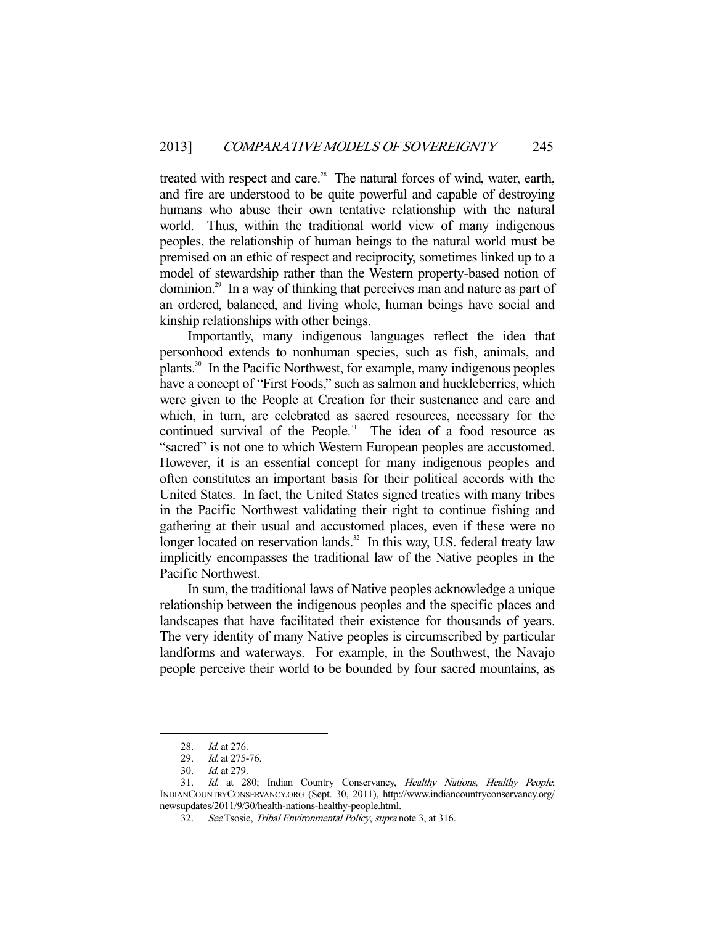treated with respect and care.<sup>28</sup> The natural forces of wind, water, earth, and fire are understood to be quite powerful and capable of destroying humans who abuse their own tentative relationship with the natural world. Thus, within the traditional world view of many indigenous peoples, the relationship of human beings to the natural world must be premised on an ethic of respect and reciprocity, sometimes linked up to a model of stewardship rather than the Western property-based notion of dominion.29 In a way of thinking that perceives man and nature as part of an ordered, balanced, and living whole, human beings have social and kinship relationships with other beings.

 Importantly, many indigenous languages reflect the idea that personhood extends to nonhuman species, such as fish, animals, and plants.30 In the Pacific Northwest, for example, many indigenous peoples have a concept of "First Foods," such as salmon and huckleberries, which were given to the People at Creation for their sustenance and care and which, in turn, are celebrated as sacred resources, necessary for the continued survival of the People.<sup>31</sup> The idea of a food resource as "sacred" is not one to which Western European peoples are accustomed. However, it is an essential concept for many indigenous peoples and often constitutes an important basis for their political accords with the United States. In fact, the United States signed treaties with many tribes in the Pacific Northwest validating their right to continue fishing and gathering at their usual and accustomed places, even if these were no longer located on reservation lands.<sup>32</sup> In this way, U.S. federal treaty law implicitly encompasses the traditional law of the Native peoples in the Pacific Northwest.

 In sum, the traditional laws of Native peoples acknowledge a unique relationship between the indigenous peoples and the specific places and landscapes that have facilitated their existence for thousands of years. The very identity of many Native peoples is circumscribed by particular landforms and waterways. For example, in the Southwest, the Navajo people perceive their world to be bounded by four sacred mountains, as

 <sup>28.</sup> Id. at 276.

 <sup>29.</sup> Id. at 275-76.

 <sup>30.</sup> Id. at 279.

<sup>31.</sup> Id. at 280; Indian Country Conservancy, Healthy Nations, Healthy People, INDIANCOUNTRYCONSERVANCY.ORG (Sept. 30, 2011), http://www.indiancountryconservancy.org/ newsupdates/2011/9/30/health-nations-healthy-people.html.

 <sup>32.</sup> See Tsosie, Tribal Environmental Policy, supra note 3, at 316.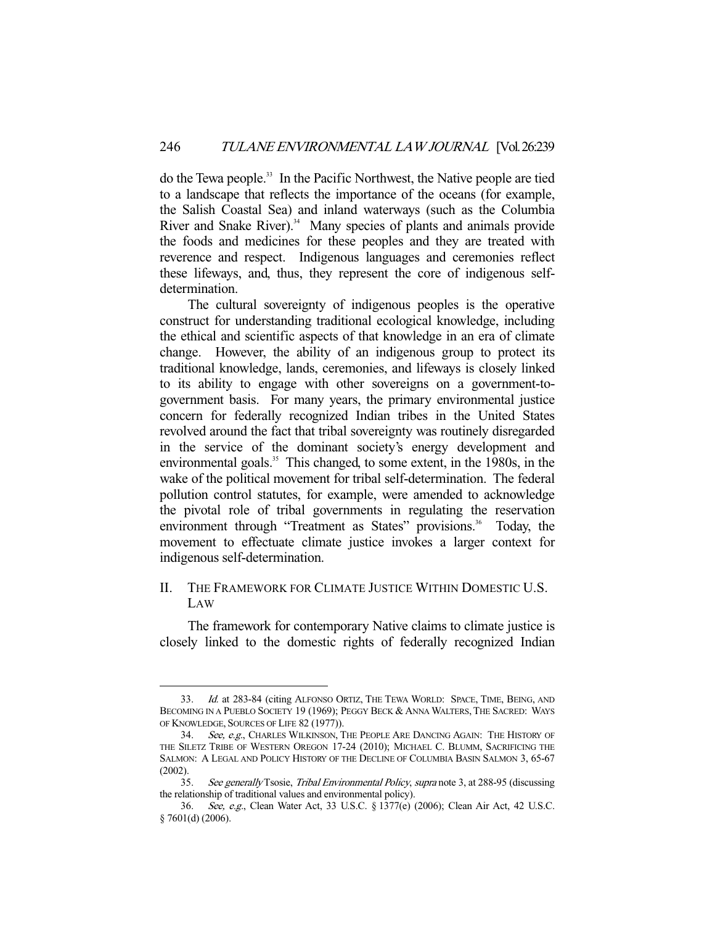do the Tewa people.<sup>33</sup> In the Pacific Northwest, the Native people are tied to a landscape that reflects the importance of the oceans (for example, the Salish Coastal Sea) and inland waterways (such as the Columbia River and Snake River). $34$  Many species of plants and animals provide the foods and medicines for these peoples and they are treated with reverence and respect. Indigenous languages and ceremonies reflect these lifeways, and, thus, they represent the core of indigenous selfdetermination.

 The cultural sovereignty of indigenous peoples is the operative construct for understanding traditional ecological knowledge, including the ethical and scientific aspects of that knowledge in an era of climate change. However, the ability of an indigenous group to protect its traditional knowledge, lands, ceremonies, and lifeways is closely linked to its ability to engage with other sovereigns on a government-togovernment basis. For many years, the primary environmental justice concern for federally recognized Indian tribes in the United States revolved around the fact that tribal sovereignty was routinely disregarded in the service of the dominant society's energy development and environmental goals.<sup>35</sup> This changed, to some extent, in the 1980s, in the wake of the political movement for tribal self-determination. The federal pollution control statutes, for example, were amended to acknowledge the pivotal role of tribal governments in regulating the reservation environment through "Treatment as States" provisions.<sup>36</sup> Today, the movement to effectuate climate justice invokes a larger context for indigenous self-determination.

# II. THE FRAMEWORK FOR CLIMATE JUSTICE WITHIN DOMESTIC U.S. LAW

 The framework for contemporary Native claims to climate justice is closely linked to the domestic rights of federally recognized Indian

 <sup>33.</sup> Id. at 283-84 (citing ALFONSO ORTIZ, THE TEWA WORLD: SPACE, TIME, BEING, AND BECOMING IN A PUEBLO SOCIETY 19 (1969); PEGGY BECK & ANNA WALTERS, THE SACRED: WAYS OF KNOWLEDGE, SOURCES OF LIFE 82 (1977)).

<sup>34.</sup> See, e.g., CHARLES WILKINSON, THE PEOPLE ARE DANCING AGAIN: THE HISTORY OF THE SILETZ TRIBE OF WESTERN OREGON 17-24 (2010); MICHAEL C. BLUMM, SACRIFICING THE SALMON: A LEGAL AND POLICY HISTORY OF THE DECLINE OF COLUMBIA BASIN SALMON 3, 65-67 (2002).

 <sup>35.</sup> See generally Tsosie, Tribal Environmental Policy, supra note 3, at 288-95 (discussing the relationship of traditional values and environmental policy).

 <sup>36.</sup> See, e.g., Clean Water Act, 33 U.S.C. § 1377(e) (2006); Clean Air Act, 42 U.S.C. § 7601(d) (2006).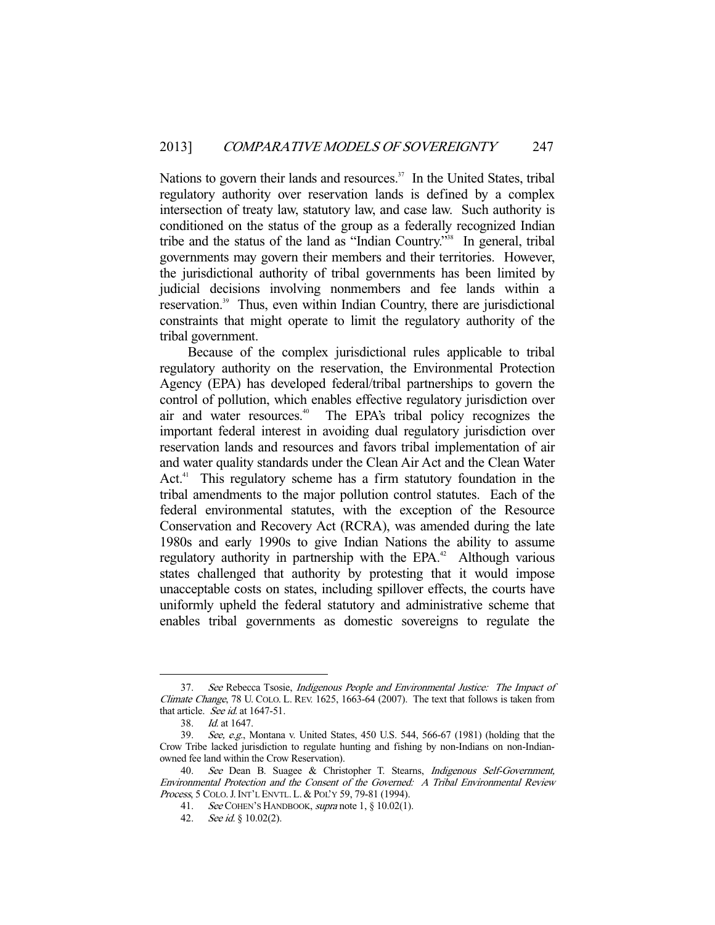Nations to govern their lands and resources.<sup>37</sup> In the United States, tribal regulatory authority over reservation lands is defined by a complex intersection of treaty law, statutory law, and case law. Such authority is conditioned on the status of the group as a federally recognized Indian tribe and the status of the land as "Indian Country."38 In general, tribal governments may govern their members and their territories. However, the jurisdictional authority of tribal governments has been limited by judicial decisions involving nonmembers and fee lands within a reservation.<sup>39</sup> Thus, even within Indian Country, there are jurisdictional constraints that might operate to limit the regulatory authority of the tribal government.

 Because of the complex jurisdictional rules applicable to tribal regulatory authority on the reservation, the Environmental Protection Agency (EPA) has developed federal/tribal partnerships to govern the control of pollution, which enables effective regulatory jurisdiction over air and water resources.<sup>40</sup> The EPA's tribal policy recognizes the important federal interest in avoiding dual regulatory jurisdiction over reservation lands and resources and favors tribal implementation of air and water quality standards under the Clean Air Act and the Clean Water Act.<sup>41</sup> This regulatory scheme has a firm statutory foundation in the tribal amendments to the major pollution control statutes. Each of the federal environmental statutes, with the exception of the Resource Conservation and Recovery Act (RCRA), was amended during the late 1980s and early 1990s to give Indian Nations the ability to assume regulatory authority in partnership with the  $EPA<sup>42</sup>$  Although various states challenged that authority by protesting that it would impose unacceptable costs on states, including spillover effects, the courts have uniformly upheld the federal statutory and administrative scheme that enables tribal governments as domestic sovereigns to regulate the

 <sup>37.</sup> See Rebecca Tsosie, Indigenous People and Environmental Justice: The Impact of Climate Change, 78 U. COLO. L. REV. 1625, 1663-64 (2007). The text that follows is taken from that article. See id. at 1647-51.

 <sup>38.</sup> Id. at 1647.

 <sup>39.</sup> See, e.g., Montana v. United States, 450 U.S. 544, 566-67 (1981) (holding that the Crow Tribe lacked jurisdiction to regulate hunting and fishing by non-Indians on non-Indianowned fee land within the Crow Reservation).

<sup>40.</sup> See Dean B. Suagee & Christopher T. Stearns, Indigenous Self-Government, Environmental Protection and the Consent of the Governed: A Tribal Environmental Review Process, 5 COLO.J.INT'L ENVTL.L. & POL'Y 59, 79-81 (1994).

<sup>41.</sup> See COHEN'S HANDBOOK, supra note 1, § 10.02(1).

 <sup>42.</sup> See id. § 10.02(2).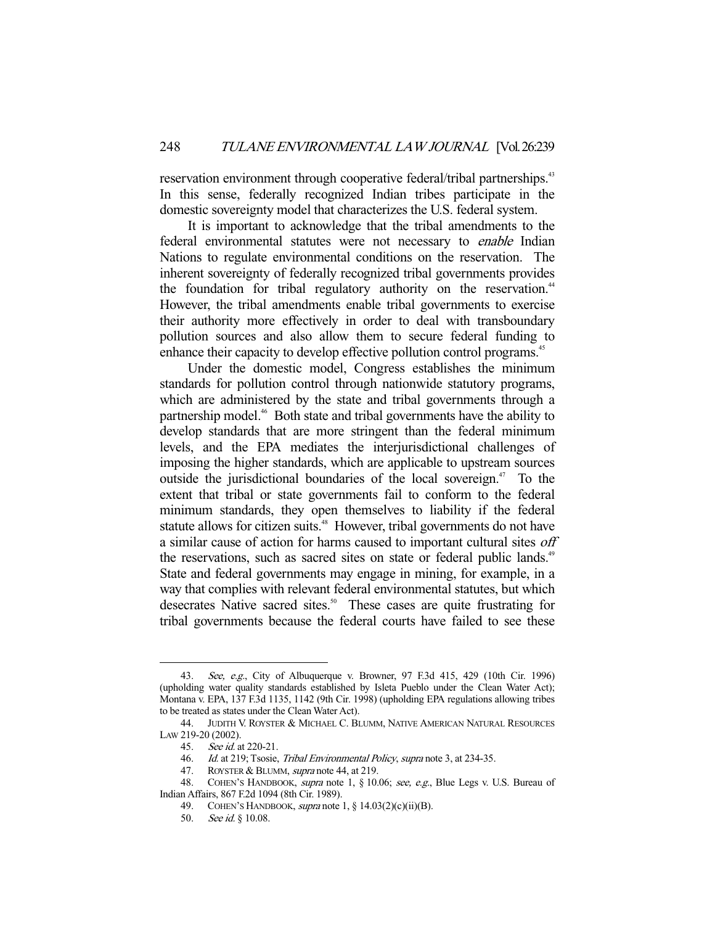reservation environment through cooperative federal/tribal partnerships.<sup>43</sup> In this sense, federally recognized Indian tribes participate in the domestic sovereignty model that characterizes the U.S. federal system.

 It is important to acknowledge that the tribal amendments to the federal environmental statutes were not necessary to enable Indian Nations to regulate environmental conditions on the reservation. The inherent sovereignty of federally recognized tribal governments provides the foundation for tribal regulatory authority on the reservation.<sup>44</sup> However, the tribal amendments enable tribal governments to exercise their authority more effectively in order to deal with transboundary pollution sources and also allow them to secure federal funding to enhance their capacity to develop effective pollution control programs.<sup>45</sup>

 Under the domestic model, Congress establishes the minimum standards for pollution control through nationwide statutory programs, which are administered by the state and tribal governments through a partnership model.<sup>46</sup> Both state and tribal governments have the ability to develop standards that are more stringent than the federal minimum levels, and the EPA mediates the interjurisdictional challenges of imposing the higher standards, which are applicable to upstream sources outside the jurisdictional boundaries of the local sovereign.<sup> $47$ </sup> To the extent that tribal or state governments fail to conform to the federal minimum standards, they open themselves to liability if the federal statute allows for citizen suits.<sup>48</sup> However, tribal governments do not have a similar cause of action for harms caused to important cultural sites off the reservations, such as sacred sites on state or federal public lands.<sup>49</sup> State and federal governments may engage in mining, for example, in a way that complies with relevant federal environmental statutes, but which desecrates Native sacred sites.<sup>50</sup> These cases are quite frustrating for tribal governments because the federal courts have failed to see these

<sup>43.</sup> See, e.g., City of Albuquerque v. Browner, 97 F.3d 415, 429 (10th Cir. 1996) (upholding water quality standards established by Isleta Pueblo under the Clean Water Act); Montana v. EPA, 137 F.3d 1135, 1142 (9th Cir. 1998) (upholding EPA regulations allowing tribes to be treated as states under the Clean Water Act).

<sup>44.</sup> JUDITH V. ROYSTER & MICHAEL C. BLUMM, NATIVE AMERICAN NATURAL RESOURCES LAW 219-20 (2002).

 <sup>45.</sup> See id. at 220-21.

<sup>46.</sup> Id. at 219; Tsosie, Tribal Environmental Policy, supra note 3, at 234-35.

<sup>47.</sup> ROYSTER & BLUMM, *supra* note 44, at 219.

<sup>48.</sup> COHEN'S HANDBOOK, *supra* note 1, § 10.06; see, e.g., Blue Legs v. U.S. Bureau of Indian Affairs, 867 F.2d 1094 (8th Cir. 1989).

 <sup>49.</sup> COHEN'S HANDBOOK, supra note 1, § 14.03(2)(c)(ii)(B).

 <sup>50.</sup> See id. § 10.08.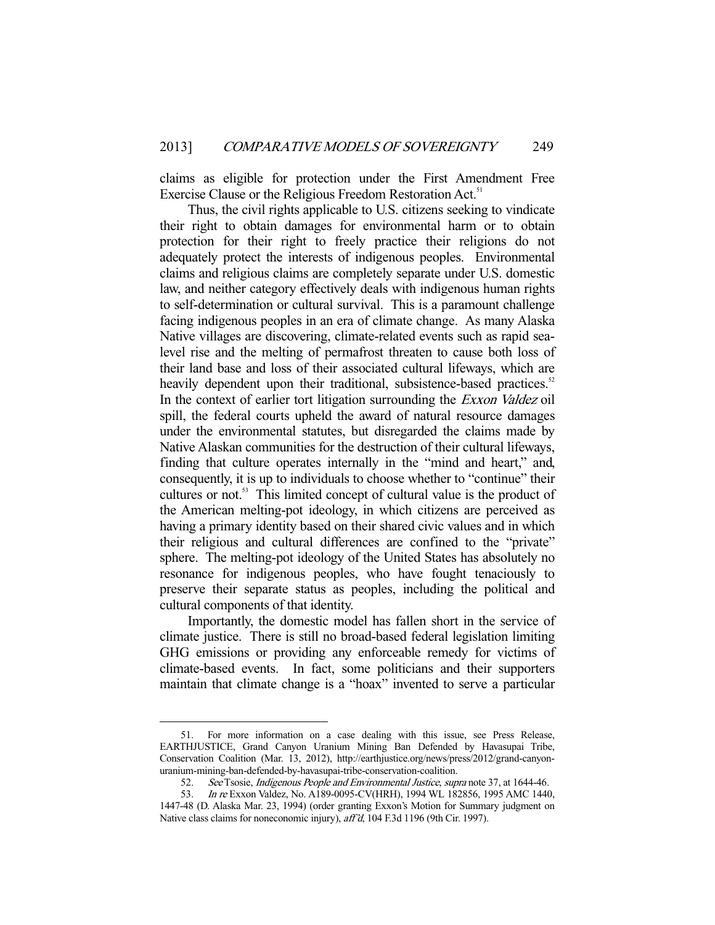claims as eligible for protection under the First Amendment Free Exercise Clause or the Religious Freedom Restoration Act.<sup>51</sup>

 Thus, the civil rights applicable to U.S. citizens seeking to vindicate their right to obtain damages for environmental harm or to obtain protection for their right to freely practice their religions do not adequately protect the interests of indigenous peoples. Environmental claims and religious claims are completely separate under U.S. domestic law, and neither category effectively deals with indigenous human rights to self-determination or cultural survival. This is a paramount challenge facing indigenous peoples in an era of climate change. As many Alaska Native villages are discovering, climate-related events such as rapid sealevel rise and the melting of permafrost threaten to cause both loss of their land base and loss of their associated cultural lifeways, which are heavily dependent upon their traditional, subsistence-based practices.<sup>52</sup> In the context of earlier tort litigation surrounding the *Exxon Valdez* oil spill, the federal courts upheld the award of natural resource damages under the environmental statutes, but disregarded the claims made by Native Alaskan communities for the destruction of their cultural lifeways, finding that culture operates internally in the "mind and heart," and, consequently, it is up to individuals to choose whether to "continue" their cultures or not.<sup>53</sup> This limited concept of cultural value is the product of the American melting-pot ideology, in which citizens are perceived as having a primary identity based on their shared civic values and in which their religious and cultural differences are confined to the "private" sphere. The melting-pot ideology of the United States has absolutely no resonance for indigenous peoples, who have fought tenaciously to preserve their separate status as peoples, including the political and cultural components of that identity.

 Importantly, the domestic model has fallen short in the service of climate justice. There is still no broad-based federal legislation limiting GHG emissions or providing any enforceable remedy for victims of climate-based events. In fact, some politicians and their supporters maintain that climate change is a "hoax" invented to serve a particular

 <sup>51.</sup> For more information on a case dealing with this issue, see Press Release, EARTHJUSTICE, Grand Canyon Uranium Mining Ban Defended by Havasupai Tribe, Conservation Coalition (Mar. 13, 2012), http://earthjustice.org/news/press/2012/grand-canyonuranium-mining-ban-defended-by-havasupai-tribe-conservation-coalition.

<sup>52.</sup> See Tsosie, Indigenous People and Environmental Justice, supra note 37, at 1644-46.

<sup>53.</sup> In re Exxon Valdez, No. A189-0095-CV(HRH), 1994 WL 182856, 1995 AMC 1440, 1447-48 (D. Alaska Mar. 23, 1994) (order granting Exxon's Motion for Summary judgment on Native class claims for noneconomic injury), aff'd, 104 F.3d 1196 (9th Cir. 1997).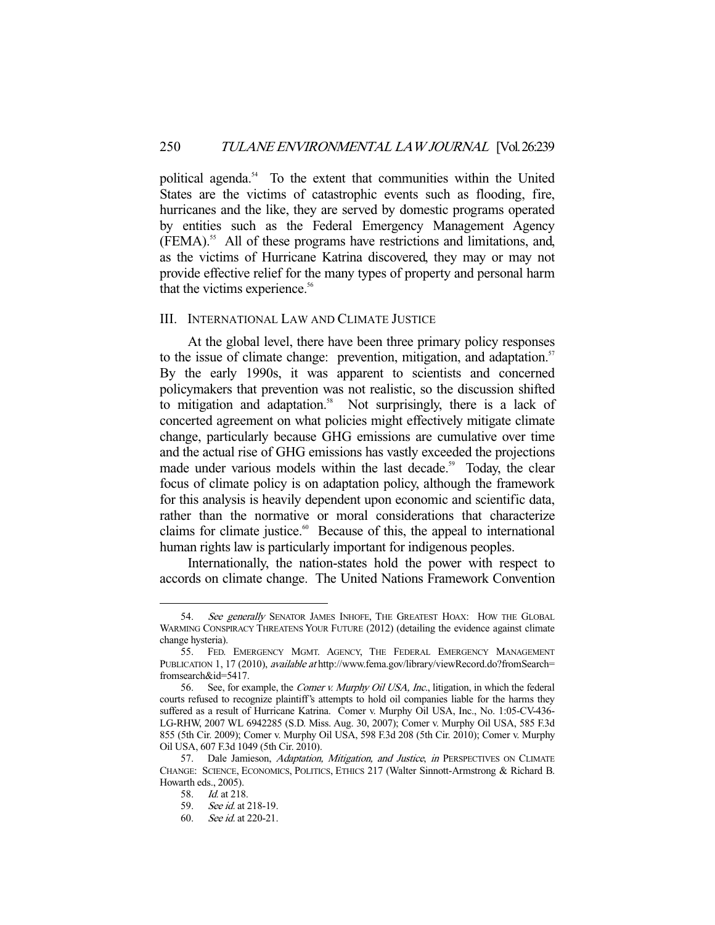political agenda.<sup>54</sup> To the extent that communities within the United States are the victims of catastrophic events such as flooding, fire, hurricanes and the like, they are served by domestic programs operated by entities such as the Federal Emergency Management Agency (FEMA).55 All of these programs have restrictions and limitations, and, as the victims of Hurricane Katrina discovered, they may or may not provide effective relief for the many types of property and personal harm that the victims experience.<sup>56</sup>

#### III. INTERNATIONAL LAW AND CLIMATE JUSTICE

 At the global level, there have been three primary policy responses to the issue of climate change: prevention, mitigation, and adaptation.<sup>57</sup> By the early 1990s, it was apparent to scientists and concerned policymakers that prevention was not realistic, so the discussion shifted to mitigation and adaptation.<sup>58</sup> Not surprisingly, there is a lack of concerted agreement on what policies might effectively mitigate climate change, particularly because GHG emissions are cumulative over time and the actual rise of GHG emissions has vastly exceeded the projections made under various models within the last decade.<sup>59</sup> Today, the clear focus of climate policy is on adaptation policy, although the framework for this analysis is heavily dependent upon economic and scientific data, rather than the normative or moral considerations that characterize claims for climate justice.<sup>60</sup> Because of this, the appeal to international human rights law is particularly important for indigenous peoples.

 Internationally, the nation-states hold the power with respect to accords on climate change. The United Nations Framework Convention

<sup>54.</sup> See generally SENATOR JAMES INHOFE, THE GREATEST HOAX: HOW THE GLOBAL WARMING CONSPIRACY THREATENS YOUR FUTURE (2012) (detailing the evidence against climate change hysteria).

 <sup>55.</sup> FED. EMERGENCY MGMT. AGENCY, THE FEDERAL EMERGENCY MANAGEMENT PUBLICATION 1, 17 (2010), available at http://www.fema.gov/library/viewRecord.do?fromSearch= fromsearch&id=5417.

 <sup>56.</sup> See, for example, the Comer v. Murphy Oil USA, Inc., litigation, in which the federal courts refused to recognize plaintiff's attempts to hold oil companies liable for the harms they suffered as a result of Hurricane Katrina. Comer v. Murphy Oil USA, Inc., No. 1:05-CV-436- LG-RHW, 2007 WL 6942285 (S.D. Miss. Aug. 30, 2007); Comer v. Murphy Oil USA, 585 F.3d 855 (5th Cir. 2009); Comer v. Murphy Oil USA, 598 F.3d 208 (5th Cir. 2010); Comer v. Murphy Oil USA, 607 F.3d 1049 (5th Cir. 2010).

<sup>57.</sup> Dale Jamieson, Adaptation, Mitigation, and Justice, in PERSPECTIVES ON CLIMATE CHANGE: SCIENCE, ECONOMICS, POLITICS, ETHICS 217 (Walter Sinnott-Armstrong & Richard B. Howarth eds., 2005).

 <sup>58.</sup> Id. at 218.

 <sup>59.</sup> See id. at 218-19.

 <sup>60.</sup> See id. at 220-21.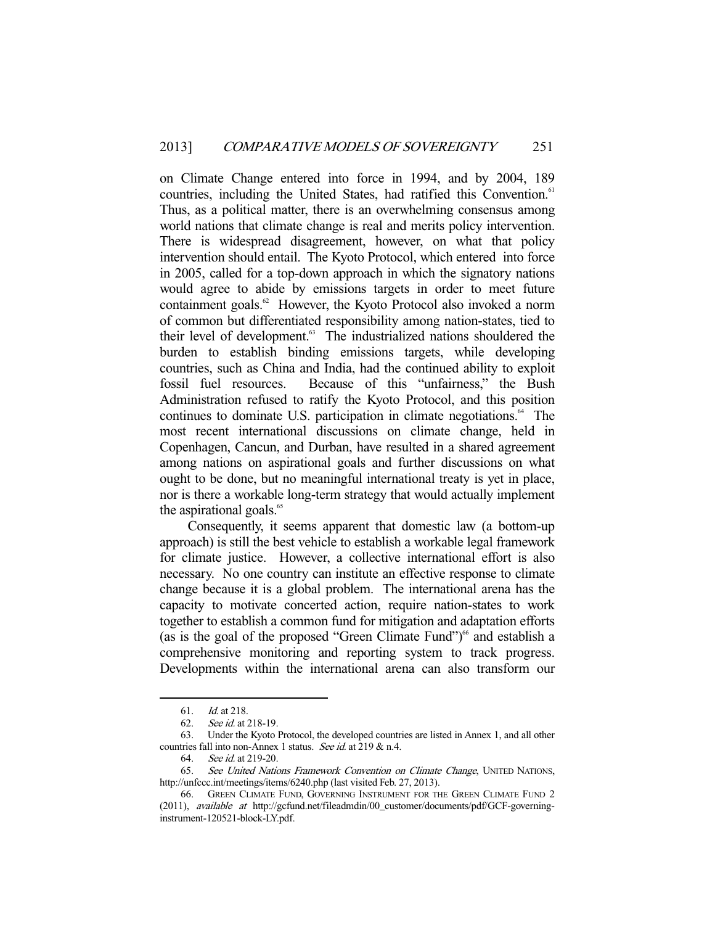on Climate Change entered into force in 1994, and by 2004, 189 countries, including the United States, had ratified this Convention.<sup>61</sup> Thus, as a political matter, there is an overwhelming consensus among world nations that climate change is real and merits policy intervention. There is widespread disagreement, however, on what that policy intervention should entail. The Kyoto Protocol, which entered into force in 2005, called for a top-down approach in which the signatory nations would agree to abide by emissions targets in order to meet future containment goals.<sup>62</sup> However, the Kyoto Protocol also invoked a norm of common but differentiated responsibility among nation-states, tied to their level of development.<sup>63</sup> The industrialized nations shouldered the burden to establish binding emissions targets, while developing countries, such as China and India, had the continued ability to exploit fossil fuel resources. Because of this "unfairness," the Bush Administration refused to ratify the Kyoto Protocol, and this position continues to dominate U.S. participation in climate negotiations.<sup>64</sup> The most recent international discussions on climate change, held in Copenhagen, Cancun, and Durban, have resulted in a shared agreement among nations on aspirational goals and further discussions on what ought to be done, but no meaningful international treaty is yet in place, nor is there a workable long-term strategy that would actually implement the aspirational goals.<sup>65</sup>

 Consequently, it seems apparent that domestic law (a bottom-up approach) is still the best vehicle to establish a workable legal framework for climate justice. However, a collective international effort is also necessary. No one country can institute an effective response to climate change because it is a global problem. The international arena has the capacity to motivate concerted action, require nation-states to work together to establish a common fund for mitigation and adaptation efforts (as is the goal of the proposed "Green Climate Fund")<sup>66</sup> and establish a comprehensive monitoring and reporting system to track progress. Developments within the international arena can also transform our

 <sup>61.</sup> Id. at 218.

 <sup>62.</sup> See id. at 218-19.

 <sup>63.</sup> Under the Kyoto Protocol, the developed countries are listed in Annex 1, and all other countries fall into non-Annex 1 status. See id. at 219 & n.4.<br>64. See id. at 219-20.

See id. at 219-20.

<sup>65.</sup> See United Nations Framework Convention on Climate Change, UNITED NATIONS, http://unfccc.int/meetings/items/6240.php (last visited Feb. 27, 2013).

 <sup>66.</sup> GREEN CLIMATE FUND, GOVERNING INSTRUMENT FOR THE GREEN CLIMATE FUND 2 (2011), available at http://gcfund.net/fileadmdin/00\_customer/documents/pdf/GCF-governinginstrument-120521-block-LY.pdf.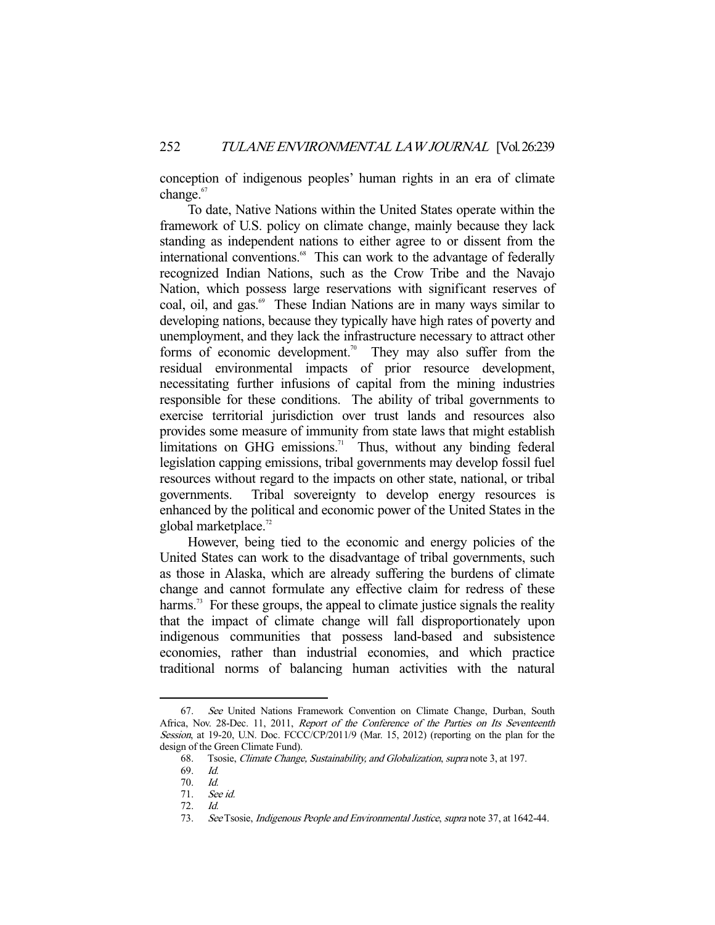conception of indigenous peoples' human rights in an era of climate change.<sup>67</sup>

 To date, Native Nations within the United States operate within the framework of U.S. policy on climate change, mainly because they lack standing as independent nations to either agree to or dissent from the international conventions.<sup>68</sup> This can work to the advantage of federally recognized Indian Nations, such as the Crow Tribe and the Navajo Nation, which possess large reservations with significant reserves of coal, oil, and gas.<sup>69</sup> These Indian Nations are in many ways similar to developing nations, because they typically have high rates of poverty and unemployment, and they lack the infrastructure necessary to attract other forms of economic development.<sup>70</sup> They may also suffer from the residual environmental impacts of prior resource development, necessitating further infusions of capital from the mining industries responsible for these conditions. The ability of tribal governments to exercise territorial jurisdiction over trust lands and resources also provides some measure of immunity from state laws that might establish limitations on GHG emissions.<sup>71</sup> Thus, without any binding federal legislation capping emissions, tribal governments may develop fossil fuel resources without regard to the impacts on other state, national, or tribal governments. Tribal sovereignty to develop energy resources is enhanced by the political and economic power of the United States in the global marketplace.<sup>72</sup>

 However, being tied to the economic and energy policies of the United States can work to the disadvantage of tribal governments, such as those in Alaska, which are already suffering the burdens of climate change and cannot formulate any effective claim for redress of these harms.<sup>73</sup> For these groups, the appeal to climate justice signals the reality that the impact of climate change will fall disproportionately upon indigenous communities that possess land-based and subsistence economies, rather than industrial economies, and which practice traditional norms of balancing human activities with the natural

<sup>67.</sup> See United Nations Framework Convention on Climate Change, Durban, South Africa, Nov. 28-Dec. 11, 2011, Report of the Conference of the Parties on Its Seventeenth Session, at 19-20, U.N. Doc. FCCC/CP/2011/9 (Mar. 15, 2012) (reporting on the plan for the design of the Green Climate Fund).

 <sup>68.</sup> Tsosie, Climate Change, Sustainability, and Globalization, supra note 3, at 197.

 <sup>69.</sup> Id.

<sup>70.</sup> *Id.*<br>71. *Set* 

See id.

 <sup>72.</sup> Id.

<sup>73.</sup> See Tsosie, Indigenous People and Environmental Justice, supra note 37, at 1642-44.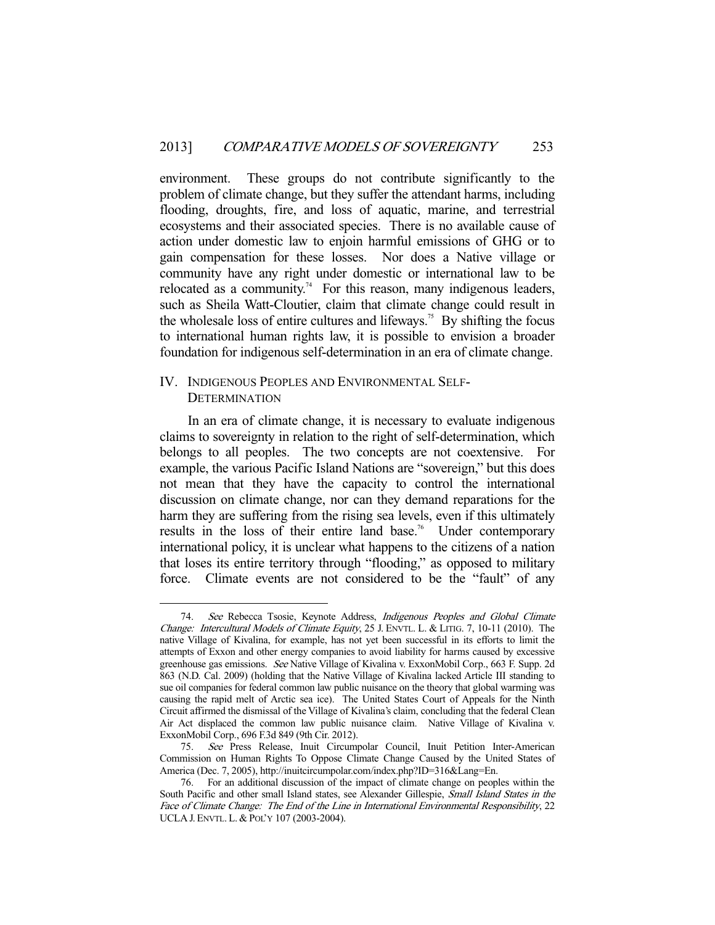environment. These groups do not contribute significantly to the problem of climate change, but they suffer the attendant harms, including flooding, droughts, fire, and loss of aquatic, marine, and terrestrial ecosystems and their associated species. There is no available cause of action under domestic law to enjoin harmful emissions of GHG or to gain compensation for these losses. Nor does a Native village or community have any right under domestic or international law to be relocated as a community.<sup>74</sup> For this reason, many indigenous leaders, such as Sheila Watt-Cloutier, claim that climate change could result in the wholesale loss of entire cultures and lifeways.<sup>75</sup> By shifting the focus to international human rights law, it is possible to envision a broader foundation for indigenous self-determination in an era of climate change.

## IV. INDIGENOUS PEOPLES AND ENVIRONMENTAL SELF-**DETERMINATION**

-

 In an era of climate change, it is necessary to evaluate indigenous claims to sovereignty in relation to the right of self-determination, which belongs to all peoples. The two concepts are not coextensive. For example, the various Pacific Island Nations are "sovereign," but this does not mean that they have the capacity to control the international discussion on climate change, nor can they demand reparations for the harm they are suffering from the rising sea levels, even if this ultimately results in the loss of their entire land base.<sup>76</sup> Under contemporary international policy, it is unclear what happens to the citizens of a nation that loses its entire territory through "flooding," as opposed to military force. Climate events are not considered to be the "fault" of any

<sup>74.</sup> See Rebecca Tsosie, Keynote Address, Indigenous Peoples and Global Climate Change: Intercultural Models of Climate Equity, 25 J. ENVTL. L. & LITIG. 7, 10-11 (2010). The native Village of Kivalina, for example, has not yet been successful in its efforts to limit the attempts of Exxon and other energy companies to avoid liability for harms caused by excessive greenhouse gas emissions. See Native Village of Kivalina v. ExxonMobil Corp., 663 F. Supp. 2d 863 (N.D. Cal. 2009) (holding that the Native Village of Kivalina lacked Article III standing to sue oil companies for federal common law public nuisance on the theory that global warming was causing the rapid melt of Arctic sea ice). The United States Court of Appeals for the Ninth Circuit affirmed the dismissal of the Village of Kivalina's claim, concluding that the federal Clean Air Act displaced the common law public nuisance claim. Native Village of Kivalina v. ExxonMobil Corp., 696 F.3d 849 (9th Cir. 2012).

 <sup>75.</sup> See Press Release, Inuit Circumpolar Council, Inuit Petition Inter-American Commission on Human Rights To Oppose Climate Change Caused by the United States of America (Dec. 7, 2005), http://inuitcircumpolar.com/index.php?ID=316&Lang=En.

 <sup>76.</sup> For an additional discussion of the impact of climate change on peoples within the South Pacific and other small Island states, see Alexander Gillespie, Small Island States in the Face of Climate Change: The End of the Line in International Environmental Responsibility, 22 UCLA J. ENVTL. L. & POL'Y 107 (2003-2004).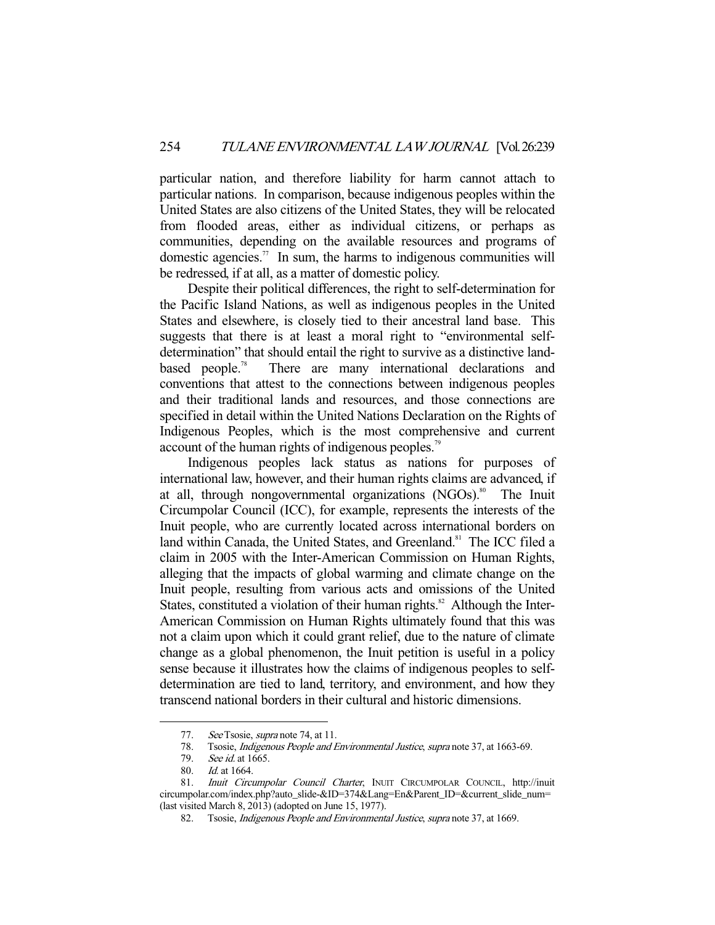particular nation, and therefore liability for harm cannot attach to particular nations. In comparison, because indigenous peoples within the United States are also citizens of the United States, they will be relocated from flooded areas, either as individual citizens, or perhaps as communities, depending on the available resources and programs of domestic agencies.<sup>77</sup> In sum, the harms to indigenous communities will be redressed, if at all, as a matter of domestic policy.

 Despite their political differences, the right to self-determination for the Pacific Island Nations, as well as indigenous peoples in the United States and elsewhere, is closely tied to their ancestral land base. This suggests that there is at least a moral right to "environmental selfdetermination" that should entail the right to survive as a distinctive landbased people.<sup>78</sup> There are many international declarations and conventions that attest to the connections between indigenous peoples and their traditional lands and resources, and those connections are specified in detail within the United Nations Declaration on the Rights of Indigenous Peoples, which is the most comprehensive and current account of the human rights of indigenous peoples.<sup>79</sup>

 Indigenous peoples lack status as nations for purposes of international law, however, and their human rights claims are advanced, if at all, through nongovernmental organizations (NGOs).<sup>80</sup> The Inuit Circumpolar Council (ICC), for example, represents the interests of the Inuit people, who are currently located across international borders on land within Canada, the United States, and Greenland.<sup>81</sup> The ICC filed a claim in 2005 with the Inter-American Commission on Human Rights, alleging that the impacts of global warming and climate change on the Inuit people, resulting from various acts and omissions of the United States, constituted a violation of their human rights. $82$  Although the Inter-American Commission on Human Rights ultimately found that this was not a claim upon which it could grant relief, due to the nature of climate change as a global phenomenon, the Inuit petition is useful in a policy sense because it illustrates how the claims of indigenous peoples to selfdetermination are tied to land, territory, and environment, and how they transcend national borders in their cultural and historic dimensions.

<sup>77.</sup> See Tsosie, *supra* note 74, at 11.

<sup>78.</sup> Tsosie, Indigenous People and Environmental Justice, supra note 37, at 1663-69.

<sup>79.</sup> See id. at 1665.

<sup>80.</sup> *Id.* at 1664.

<sup>81.</sup> Inuit Circumpolar Council Charter, INUIT CIRCUMPOLAR COUNCIL, http://inuit circumpolar.com/index.php?auto\_slide-&ID=374&Lang=En&Parent\_ID=&current\_slide\_num= (last visited March 8, 2013) (adopted on June 15, 1977).

 <sup>82.</sup> Tsosie, Indigenous People and Environmental Justice, supra note 37, at 1669.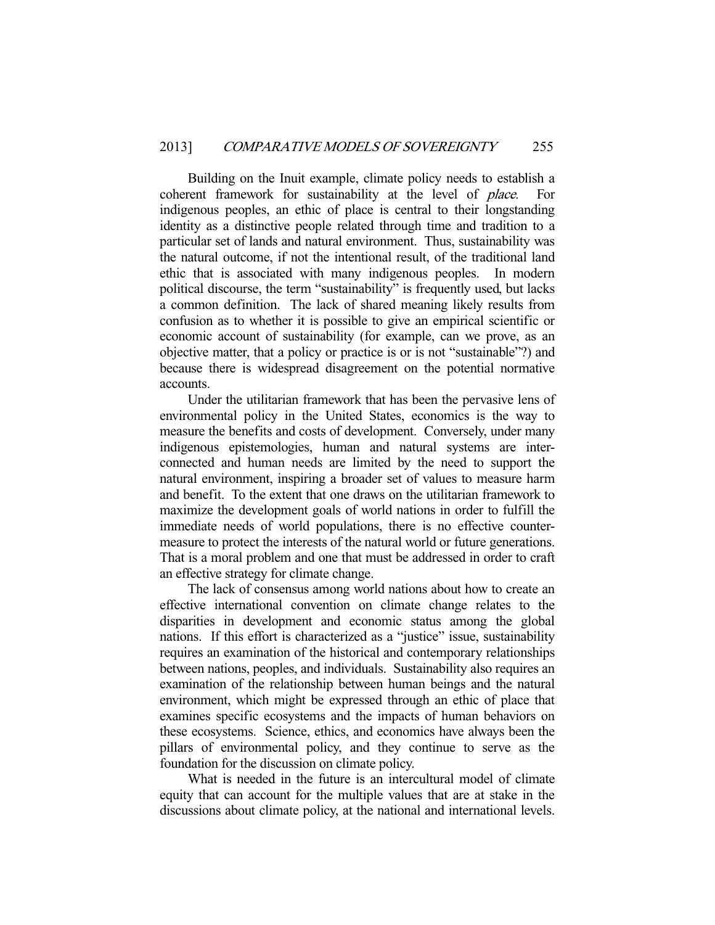Building on the Inuit example, climate policy needs to establish a coherent framework for sustainability at the level of *place*. indigenous peoples, an ethic of place is central to their longstanding identity as a distinctive people related through time and tradition to a particular set of lands and natural environment. Thus, sustainability was the natural outcome, if not the intentional result, of the traditional land ethic that is associated with many indigenous peoples. In modern political discourse, the term "sustainability" is frequently used, but lacks a common definition. The lack of shared meaning likely results from confusion as to whether it is possible to give an empirical scientific or economic account of sustainability (for example, can we prove, as an objective matter, that a policy or practice is or is not "sustainable"?) and because there is widespread disagreement on the potential normative accounts.

 Under the utilitarian framework that has been the pervasive lens of environmental policy in the United States, economics is the way to measure the benefits and costs of development. Conversely, under many indigenous epistemologies, human and natural systems are interconnected and human needs are limited by the need to support the natural environment, inspiring a broader set of values to measure harm and benefit. To the extent that one draws on the utilitarian framework to maximize the development goals of world nations in order to fulfill the immediate needs of world populations, there is no effective countermeasure to protect the interests of the natural world or future generations. That is a moral problem and one that must be addressed in order to craft an effective strategy for climate change.

 The lack of consensus among world nations about how to create an effective international convention on climate change relates to the disparities in development and economic status among the global nations. If this effort is characterized as a "justice" issue, sustainability requires an examination of the historical and contemporary relationships between nations, peoples, and individuals. Sustainability also requires an examination of the relationship between human beings and the natural environment, which might be expressed through an ethic of place that examines specific ecosystems and the impacts of human behaviors on these ecosystems. Science, ethics, and economics have always been the pillars of environmental policy, and they continue to serve as the foundation for the discussion on climate policy.

 What is needed in the future is an intercultural model of climate equity that can account for the multiple values that are at stake in the discussions about climate policy, at the national and international levels.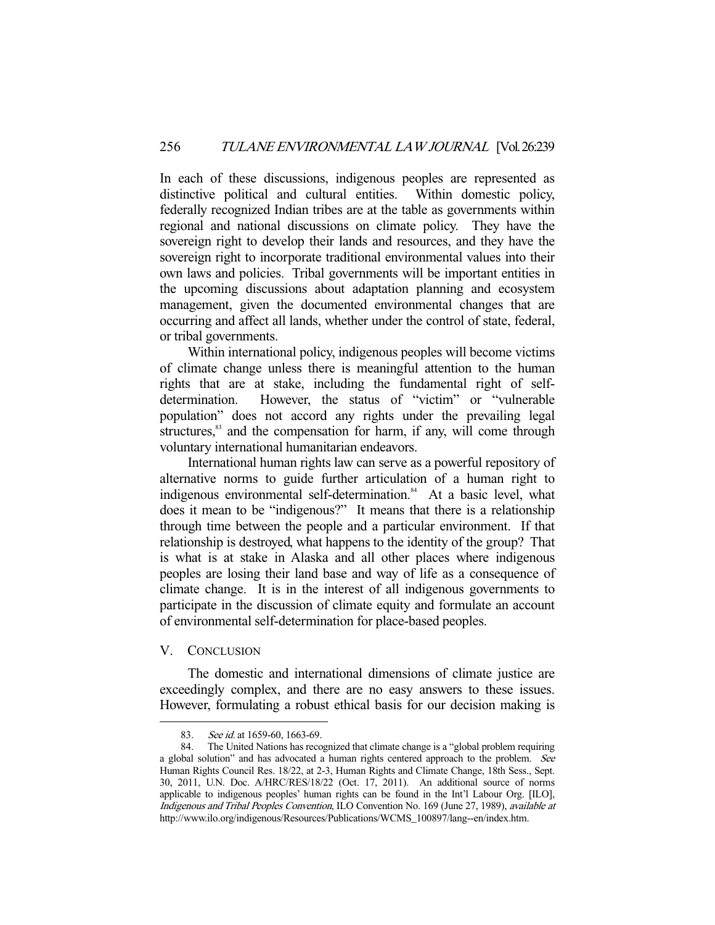In each of these discussions, indigenous peoples are represented as distinctive political and cultural entities. Within domestic policy, federally recognized Indian tribes are at the table as governments within regional and national discussions on climate policy. They have the sovereign right to develop their lands and resources, and they have the sovereign right to incorporate traditional environmental values into their own laws and policies. Tribal governments will be important entities in the upcoming discussions about adaptation planning and ecosystem management, given the documented environmental changes that are occurring and affect all lands, whether under the control of state, federal, or tribal governments.

 Within international policy, indigenous peoples will become victims of climate change unless there is meaningful attention to the human rights that are at stake, including the fundamental right of selfdetermination. However, the status of "victim" or "vulnerable population" does not accord any rights under the prevailing legal structures,<sup>83</sup> and the compensation for harm, if any, will come through voluntary international humanitarian endeavors.

 International human rights law can serve as a powerful repository of alternative norms to guide further articulation of a human right to indigenous environmental self-determination.<sup>84</sup> At a basic level, what does it mean to be "indigenous?" It means that there is a relationship through time between the people and a particular environment. If that relationship is destroyed, what happens to the identity of the group? That is what is at stake in Alaska and all other places where indigenous peoples are losing their land base and way of life as a consequence of climate change. It is in the interest of all indigenous governments to participate in the discussion of climate equity and formulate an account of environmental self-determination for place-based peoples.

### V. CONCLUSION

-

 The domestic and international dimensions of climate justice are exceedingly complex, and there are no easy answers to these issues. However, formulating a robust ethical basis for our decision making is

<sup>83.</sup> See id. at 1659-60, 1663-69.

 <sup>84.</sup> The United Nations has recognized that climate change is a "global problem requiring a global solution" and has advocated a human rights centered approach to the problem. See Human Rights Council Res. 18/22, at 2-3, Human Rights and Climate Change, 18th Sess., Sept. 30, 2011, U.N. Doc. A/HRC/RES/18/22 (Oct. 17, 2011). An additional source of norms applicable to indigenous peoples' human rights can be found in the Int'l Labour Org. [ILO], Indigenous and Tribal Peoples Convention, ILO Convention No. 169 (June 27, 1989), available at http://www.ilo.org/indigenous/Resources/Publications/WCMS\_100897/lang--en/index.htm.